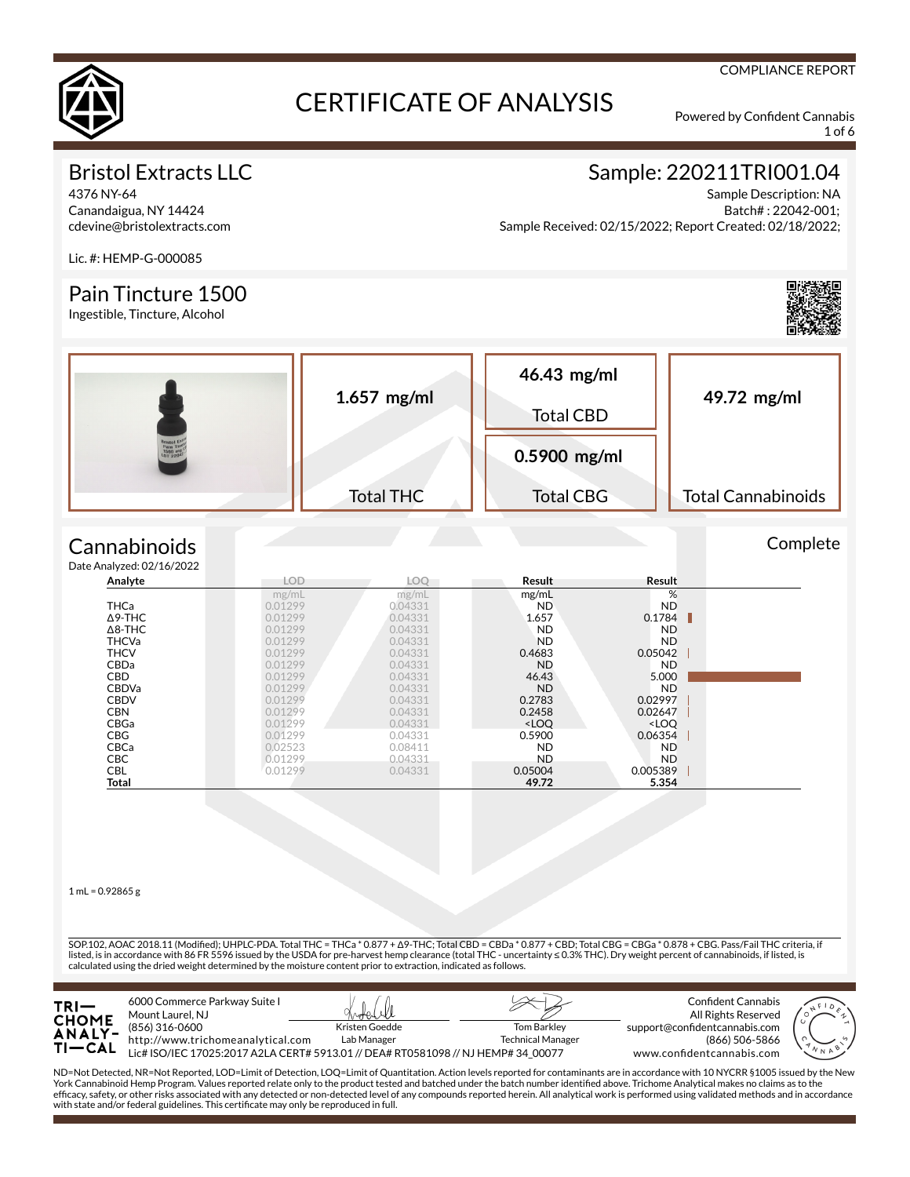

1 of 6

COMPLIANCE REPORT

### Bristol Extracts LLC

4376 NY-64 Canandaigua, NY 14424 cdevine@bristolextracts.com

### Sample: 220211TRI001.04

Sample Description: NA Batch# : 22042-001; Sample Received: 02/15/2022; Report Created: 02/18/2022;

Lic. #: HEMP-G-000085

#### Pain Tincture 1500

Ingestible, Tincture, Alcohol



**Complete** 

|       | $1.657$ mg/ml    | 46.43 mg/ml<br><b>Total CBD</b> | 49.72 mg/ml               |
|-------|------------------|---------------------------------|---------------------------|
| 01220 |                  | 0.5900 mg/ml                    |                           |
|       | <b>Total THC</b> | <b>Total CBG</b>                | <b>Total Cannabinoids</b> |

#### **Cannabinoids**  $Data$

| e Analyzed: 02/16/2022 |            |         |                                                          |                              |  |
|------------------------|------------|---------|----------------------------------------------------------|------------------------------|--|
| Analyte                | <b>LOD</b> | LOO     | Result                                                   | Result                       |  |
|                        | mg/mL      | mg/mL   | mg/mL                                                    | %                            |  |
| <b>THCa</b>            | 0.01299    | 0.04331 | ND.                                                      | <b>ND</b>                    |  |
| $\Delta$ 9-THC         | 0.01299    | 0.04331 | 1.657                                                    | 0.1784                       |  |
| $\Delta$ 8-THC         | 0.01299    | 0.04331 | <b>ND</b>                                                | <b>ND</b>                    |  |
| <b>THCVa</b>           | 0.01299    | 0.04331 | ND.                                                      | ND.                          |  |
| <b>THCV</b>            | 0.01299    | 0.04331 | 0.4683                                                   | 0.05042                      |  |
| <b>CBDa</b>            | 0.01299    | 0.04331 | <b>ND</b>                                                | ND.                          |  |
| <b>CBD</b>             | 0.01299    | 0.04331 | 46.43                                                    | 5.000                        |  |
| <b>CBDVa</b>           | 0.01299    | 0.04331 | <b>ND</b>                                                | <b>ND</b>                    |  |
| <b>CBDV</b>            | 0.01299    | 0.04331 | 0.2783                                                   | 0.02997                      |  |
| <b>CBN</b>             | 0.01299    | 0.04331 | 0.2458                                                   | 0.02647                      |  |
| CBGa                   | 0.01299    | 0.04331 | <loo< th=""><th><loo< th=""><th></th></loo<></th></loo<> | <loo< th=""><th></th></loo<> |  |
| <b>CBG</b>             | 0.01299    | 0.04331 | 0.5900                                                   | 0.06354                      |  |
| CBCa                   | 0.02523    | 0.08411 | <b>ND</b>                                                | <b>ND</b>                    |  |
| <b>CBC</b>             | 0.01299    | 0.04331 | <b>ND</b>                                                | ND.                          |  |
| CBL                    | 0.01299    | 0.04331 | 0.05004                                                  | 0.005389                     |  |
| Total                  |            |         | 49.72                                                    | 5.354                        |  |

 $1$  mL = 0.92865 g

SOP.102, AOAC 2018.11 (Modified); UHPLC-PDA. Total THC = THCa \* 0.877 + Δ9-THC; Total CBD = CBDa \* 0.877 + CBD; Total CBG = CBGa \* 0.878 + CBG. Pass/Fail THC criteria, if listed, is in accordance with 86 FR 5596 issued by the USDA for pre-harvest hemp clearance (total THC - uncertainty ≤ 0.3% THC). Dry weight percent of cannabinoids, if listed, is calculated using the dried weight determined by the moisture content prior to extraction, indicated as follows.



ND=Not Detected, NR=Not Reported, LOD=Limit of Detection, LOQ=Limit of Quantitation. Action levels reported for contaminants are in accordance with 10 NYCRR §1005 issued by the New<br>York Cannabinoid Hemp Program. Values rep efficacy, safety, or other risks associated with any detected or non-detected level of any compounds reported herein. All analytical work is performed using validated methods and in accordance with state and/or federal guidelines. This certificate may only be reproduced in full.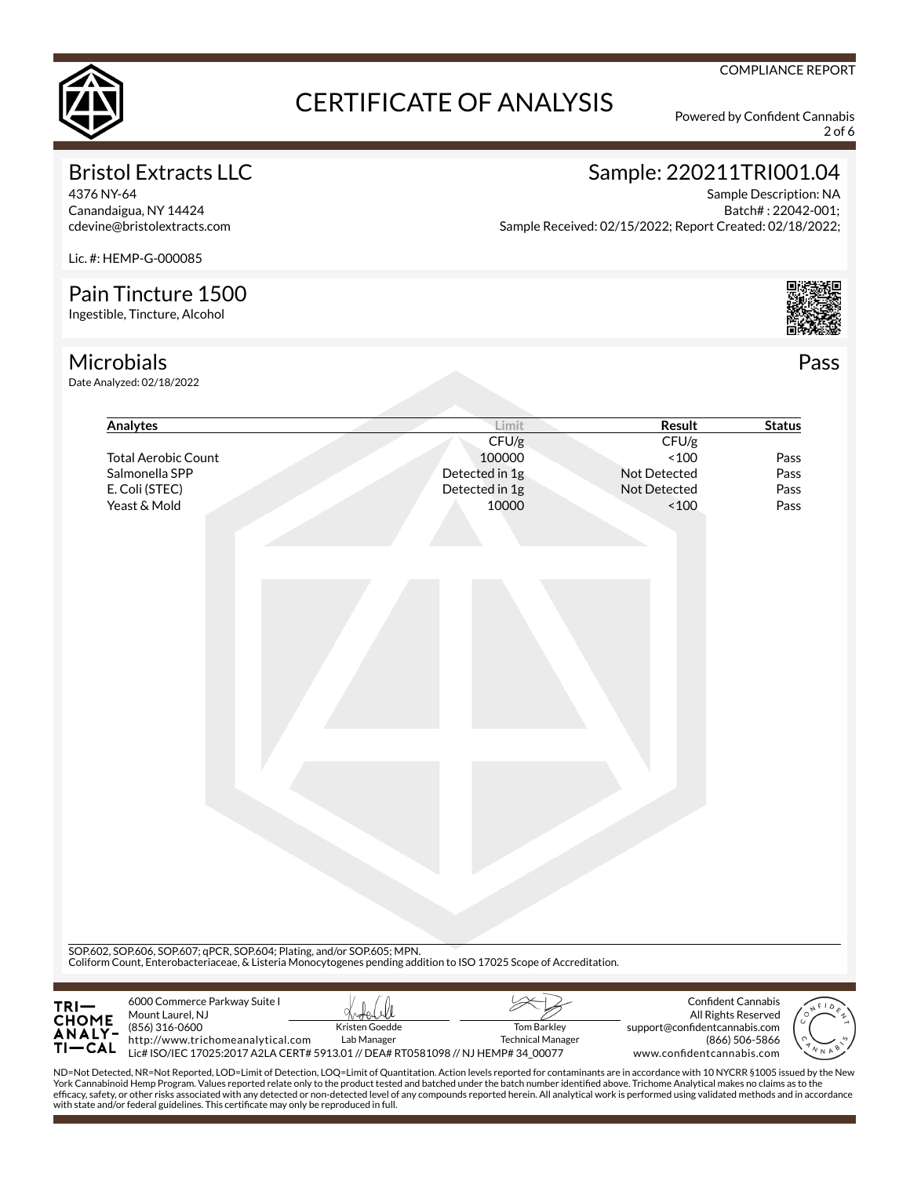

2 of 6

### Bristol Extracts LLC

4376 NY-64 Canandaigua, NY 14424 cdevine@bristolextracts.com

## Sample: 220211TRI001.04

Sample Description: NA Batch# : 22042-001; Sample Received: 02/15/2022; Report Created: 02/18/2022;

Lic. #: HEMP-G-000085

#### Pain Tincture 1500

Ingestible, Tincture, Alcohol

### **Microbials**

Date Analyzed: 02/18/2022

| Analytes                                                                                                                                                                                      | Limit                                | <b>Result</b>                 | <b>Status</b>                                    |
|-----------------------------------------------------------------------------------------------------------------------------------------------------------------------------------------------|--------------------------------------|-------------------------------|--------------------------------------------------|
|                                                                                                                                                                                               | CFU/g                                | CFU/g                         |                                                  |
| <b>Total Aerobic Count</b>                                                                                                                                                                    | 100000                               | ~100                          | Pass                                             |
| Salmonella SPP                                                                                                                                                                                | Detected in 1g                       | Not Detected                  | Pass                                             |
| E. Coli (STEC)                                                                                                                                                                                | Detected in 1g                       | Not Detected                  | Pass                                             |
| Yeast & Mold                                                                                                                                                                                  | 10000                                | ~100                          | Pass                                             |
|                                                                                                                                                                                               |                                      |                               |                                                  |
|                                                                                                                                                                                               |                                      |                               |                                                  |
|                                                                                                                                                                                               |                                      |                               |                                                  |
|                                                                                                                                                                                               |                                      |                               |                                                  |
|                                                                                                                                                                                               |                                      |                               |                                                  |
|                                                                                                                                                                                               |                                      |                               |                                                  |
|                                                                                                                                                                                               |                                      |                               |                                                  |
|                                                                                                                                                                                               |                                      |                               |                                                  |
|                                                                                                                                                                                               |                                      |                               |                                                  |
|                                                                                                                                                                                               |                                      |                               |                                                  |
|                                                                                                                                                                                               |                                      |                               |                                                  |
|                                                                                                                                                                                               |                                      |                               |                                                  |
|                                                                                                                                                                                               |                                      |                               |                                                  |
|                                                                                                                                                                                               |                                      |                               |                                                  |
|                                                                                                                                                                                               |                                      |                               |                                                  |
|                                                                                                                                                                                               |                                      |                               |                                                  |
|                                                                                                                                                                                               |                                      |                               |                                                  |
|                                                                                                                                                                                               |                                      |                               |                                                  |
|                                                                                                                                                                                               |                                      |                               |                                                  |
|                                                                                                                                                                                               |                                      |                               |                                                  |
|                                                                                                                                                                                               |                                      |                               |                                                  |
|                                                                                                                                                                                               |                                      |                               |                                                  |
| SOP.602, SOP.606, SOP.607; qPCR, SOP.604; Plating, and/or SOP.605; MPN.<br>Coliform Count, Enterobacteriaceae, & Listeria Monocytogenes pending addition to ISO 17025 Scope of Accreditation. |                                      |                               |                                                  |
|                                                                                                                                                                                               |                                      |                               |                                                  |
|                                                                                                                                                                                               |                                      |                               |                                                  |
|                                                                                                                                                                                               |                                      |                               |                                                  |
| 6000 Commerce Parkway Suite I<br>Mount Laurel, NJ<br><br>CHOME<br>TI—CAL<br>(856) 316-0600                                                                                                    | Kristen Goedde<br><b>Tom Barkley</b> | support@confidentcannabis.com | <b>Confident Cannabis</b><br>All Rights Reserved |

ND=Not Detected, NR=Not Reported, LOD=Limit of Detection, LOQ=Limit of Quantitation. Action levels reported for contaminants are in accordance with 10 NYCRR §1005 issued by the New<br>York Cannabinoid Hemp Program. Values rep efficacy, safety, or other risks associated with any detected or non-detected level of any compounds reported herein. All analytical work is performed using validated methods and in accordance with state and/or federal guidelines. This certificate may only be reproduced in full.



Pass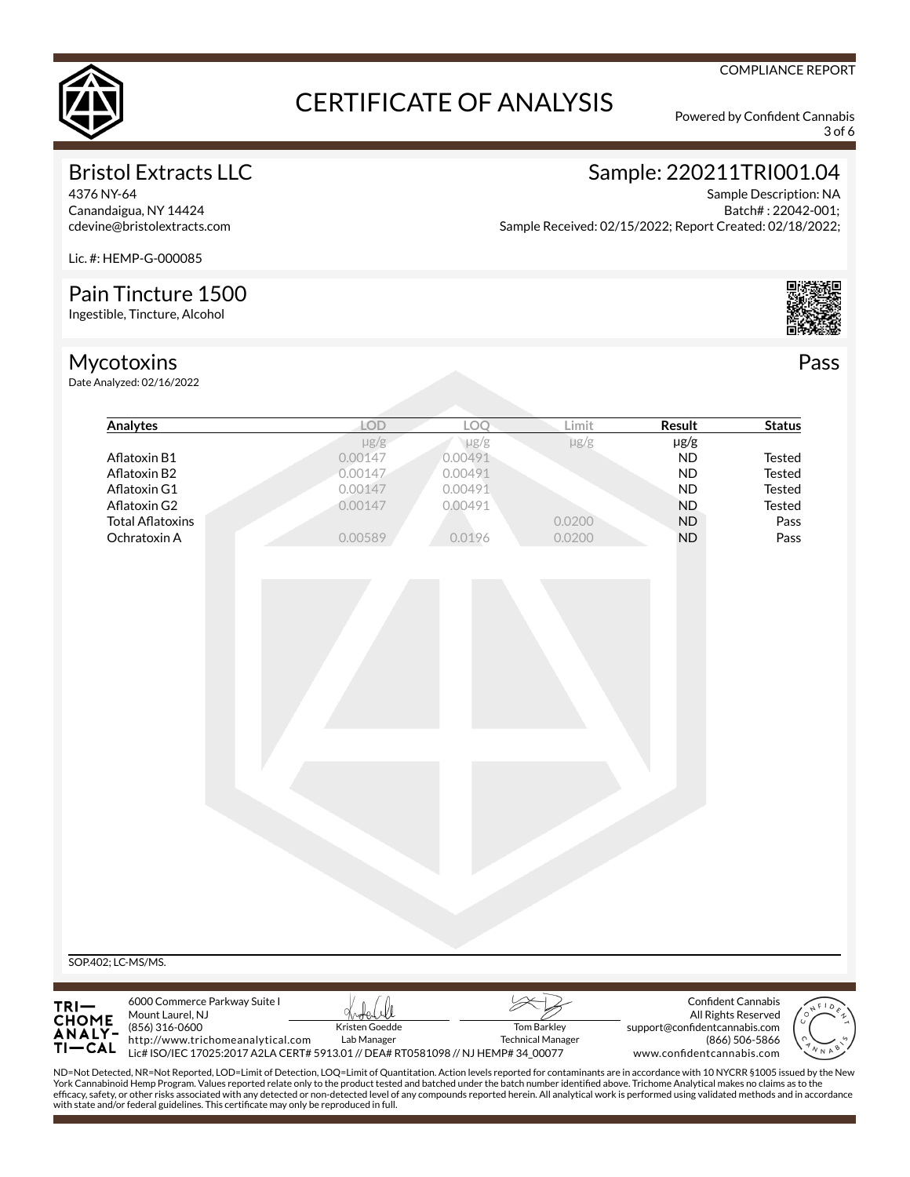

3 of 6

### Bristol Extracts LLC

4376 NY-64 Canandaigua, NY 14424 cdevine@bristolextracts.com

# Sample: 220211TRI001.04

Sample Description: NA Batch# : 22042-001; Sample Received: 02/15/2022; Report Created: 02/18/2022;

Lic. #: HEMP-G-000085

### Pain Tincture 1500

Ingestible, Tincture, Alcohol

### Mycotoxins

Date Analyzed: 02/16/2022



Pass

| $\mu$ g/g<br>$\mu$ g/g<br>$\mu$ g/g<br>$\mu$ g/g<br>0.00147<br>0.00491<br>Aflatoxin B1<br><b>ND</b><br><b>Tested</b><br>0.00491<br>0.00147<br><b>ND</b><br><b>Tested</b><br>Aflatoxin B2<br>0.00491<br>0.00147<br><b>ND</b><br><b>Tested</b><br>Aflatoxin G1<br>0.00147<br>0.00491<br><b>ND</b><br><b>Tested</b><br>Aflatoxin G2<br><b>Total Aflatoxins</b><br>0.0200<br>ND<br>Pass<br>Ochratoxin A<br>0.00589<br>0.0200<br><b>ND</b><br>Pass<br>0.0196 |  |  |  | LOQ | Limit | Result | <b>Status</b> |
|---------------------------------------------------------------------------------------------------------------------------------------------------------------------------------------------------------------------------------------------------------------------------------------------------------------------------------------------------------------------------------------------------------------------------------------------------------|--|--|--|-----|-------|--------|---------------|
|                                                                                                                                                                                                                                                                                                                                                                                                                                                         |  |  |  |     |       |        |               |
|                                                                                                                                                                                                                                                                                                                                                                                                                                                         |  |  |  |     |       |        |               |
|                                                                                                                                                                                                                                                                                                                                                                                                                                                         |  |  |  |     |       |        |               |
|                                                                                                                                                                                                                                                                                                                                                                                                                                                         |  |  |  |     |       |        |               |
|                                                                                                                                                                                                                                                                                                                                                                                                                                                         |  |  |  |     |       |        |               |
|                                                                                                                                                                                                                                                                                                                                                                                                                                                         |  |  |  |     |       |        |               |
|                                                                                                                                                                                                                                                                                                                                                                                                                                                         |  |  |  |     |       |        |               |
|                                                                                                                                                                                                                                                                                                                                                                                                                                                         |  |  |  |     |       |        |               |
|                                                                                                                                                                                                                                                                                                                                                                                                                                                         |  |  |  |     |       |        |               |
| 6000 Commerce Parkway Suite I<br>Confident Cannabis                                                                                                                                                                                                                                                                                                                                                                                                     |  |  |  |     |       |        |               |
| Mount Laurel, NJ<br>All Rights Reserved                                                                                                                                                                                                                                                                                                                                                                                                                 |  |  |  |     |       |        |               |
| SOP.402; LC-MS/MS.<br>TRI—<br>CHOME<br>ANALY-<br>Kristen Goedde<br>(856) 316-0600<br><b>Tom Barkley</b><br>support@confidentcannabis.com                                                                                                                                                                                                                                                                                                                |  |  |  |     |       |        |               |
| http://www.trichomeanalytical.com<br>Lab Manager<br><b>Technical Manager</b><br>(866) 506-5866<br>$TI-CAL$<br>Lic# ISO/IEC 17025:2017 A2LA CERT# 5913.01 // DEA# RT0581098 // NJ HEMP# 34_00077<br>www.confidentcannabis.com                                                                                                                                                                                                                            |  |  |  |     |       |        |               |
| ND=Not Detected, NR=Not Reported, LOD=Limit of Detection, LOQ=Limit of Quantitation. Action levels reported for contaminants are in accordance with 10 NYCRR §1005 issued by the New                                                                                                                                                                                                                                                                    |  |  |  |     |       |        |               |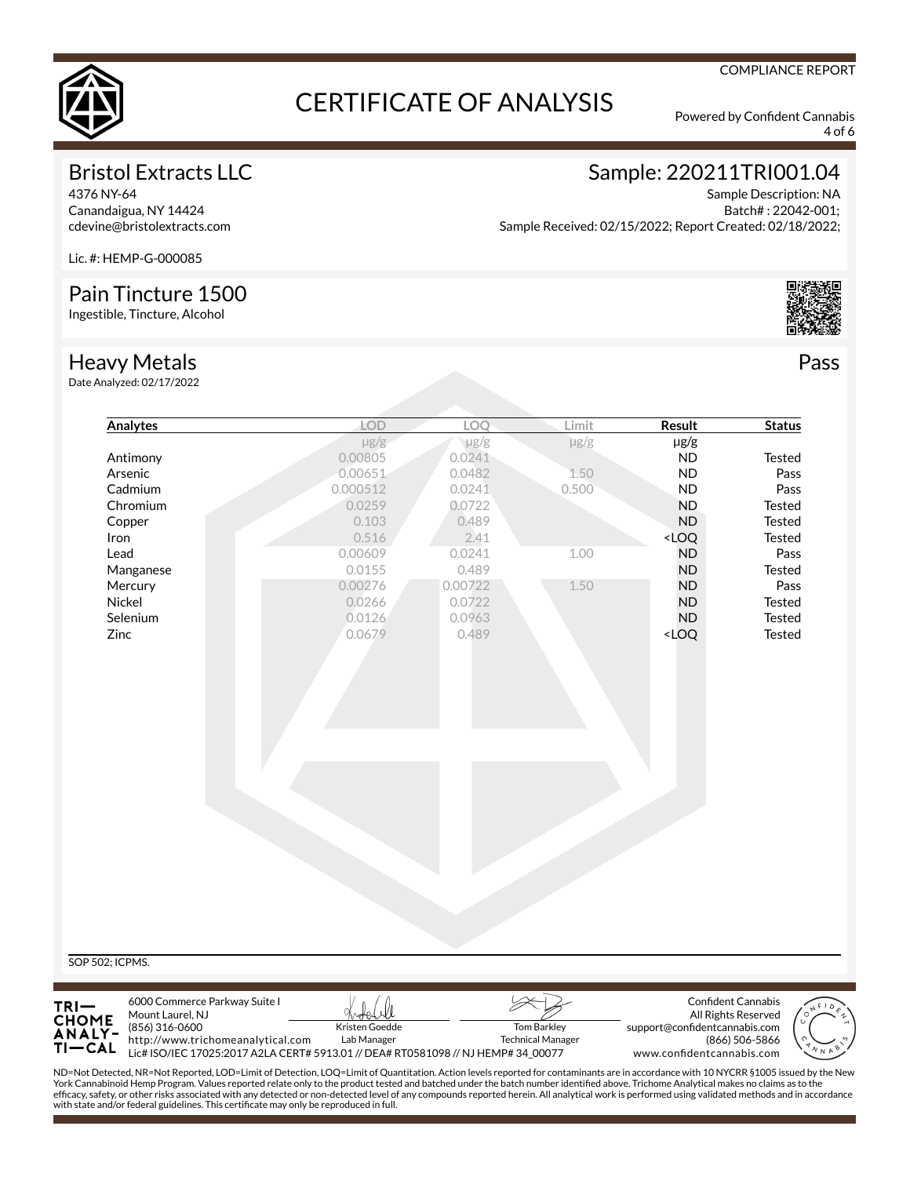

4 of 6

### Bristol Extracts LLC

4376 NY-64 Canandaigua, NY 14424 cdevine@bristolextracts.com Sample: 220211TRI001.04

Sample Description: NA Batch# : 22042-001; Sample Received: 02/15/2022; Report Created: 02/18/2022;

Lic. #: HEMP-G-000085

#### Pain Tincture 1500

Ingestible, Tincture, Alcohol

#### Heavy Metals

Date Analyzed: 02/17/2022

SOP

TRI. СНО **ANALY-**

ΤI

http://www.trichomeanalytical.com

with state and/or federal guidelines. This certificate may only be reproduced in full.

| <b>Analytes</b>                                                           | LOD            | LOQ       | Limit              | <b>Result</b>                      | <b>Status</b>                                                                                                                                                                                                                                                                                                                                                                                    |
|---------------------------------------------------------------------------|----------------|-----------|--------------------|------------------------------------|--------------------------------------------------------------------------------------------------------------------------------------------------------------------------------------------------------------------------------------------------------------------------------------------------------------------------------------------------------------------------------------------------|
|                                                                           | $\mu$ g/g      | $\mu$ g/g | $\mu$ g/g          | µg/g                               |                                                                                                                                                                                                                                                                                                                                                                                                  |
| Antimony                                                                  | 0.00805        | 0.0241    |                    | ND                                 | Tested                                                                                                                                                                                                                                                                                                                                                                                           |
| Arsenic                                                                   | 0.00651        | 0.0482    | 1.50               | <b>ND</b>                          | Pass                                                                                                                                                                                                                                                                                                                                                                                             |
| Cadmium                                                                   | 0.000512       | 0.0241    | 0.500              | <b>ND</b>                          | Pass                                                                                                                                                                                                                                                                                                                                                                                             |
| Chromium                                                                  | 0.0259         | 0.0722    |                    | <b>ND</b>                          | Tested                                                                                                                                                                                                                                                                                                                                                                                           |
| Copper                                                                    | 0.103          | 0.489     |                    | <b>ND</b>                          | <b>Tested</b>                                                                                                                                                                                                                                                                                                                                                                                    |
| Iron                                                                      | 0.516          | 2.41      |                    | <loq< td=""><td>Tested</td></loq<> | Tested                                                                                                                                                                                                                                                                                                                                                                                           |
| Lead                                                                      | 0.00609        | 0.0241    | 1.00               | <b>ND</b>                          | Pass                                                                                                                                                                                                                                                                                                                                                                                             |
| Manganese                                                                 | 0.0155         | 0.489     |                    | <b>ND</b>                          | Tested                                                                                                                                                                                                                                                                                                                                                                                           |
| Mercury                                                                   | 0.00276        | 0.00722   | 1.50               | <b>ND</b>                          | Pass                                                                                                                                                                                                                                                                                                                                                                                             |
| Nickel                                                                    | 0.0266         | 0.0722    |                    | <b>ND</b>                          | Tested                                                                                                                                                                                                                                                                                                                                                                                           |
| Selenium                                                                  | 0.0126         | 0.0963    |                    | ND                                 | Tested                                                                                                                                                                                                                                                                                                                                                                                           |
| Zinc                                                                      | 0.0679         | 0.489     |                    | <loq< td=""><td>Tested</td></loq<> | Tested                                                                                                                                                                                                                                                                                                                                                                                           |
|                                                                           |                |           |                    |                                    |                                                                                                                                                                                                                                                                                                                                                                                                  |
| 502; ICPMS.                                                               |                |           |                    |                                    |                                                                                                                                                                                                                                                                                                                                                                                                  |
| 6000 Commerce Parkway Suite I<br>Mount Laurel, NJ<br>ME<br>(856) 316-0600 | Kristen Goedde |           | <b>Tom Barkley</b> | support@confidentcannabis.com      | Confident Cannabis<br>$\begin{picture}(180,10) \put(0,0){\line(1,0){10}} \put(10,0){\line(1,0){10}} \put(10,0){\line(1,0){10}} \put(10,0){\line(1,0){10}} \put(10,0){\line(1,0){10}} \put(10,0){\line(1,0){10}} \put(10,0){\line(1,0){10}} \put(10,0){\line(1,0){10}} \put(10,0){\line(1,0){10}} \put(10,0){\line(1,0){10}} \put(10,0){\line(1,0){10}} \put(10,0){\line($<br>All Rights Reserved |



**-CAL** Lic# ISO/IEC 17025:2017 A2LA CERT# 5913.01 // DEA# RT0581098 // NJ HEMP# 34\_00077 ND=Not Detected, NR=Not Reported, LOD=Limit of Detection, LOQ=Limit of Quantitation. Action levels reported for contaminants are in accordance with 10 NYCRR §1005 issued by the New<br>York Cannabinoid Hemp Program. Values rep efficacy, safety, or other risks associated with any detected or non-detected level of any compounds reported herein. All analytical work is performed using validated methods and in accordance

Technical Manager

Lab Manager

Pass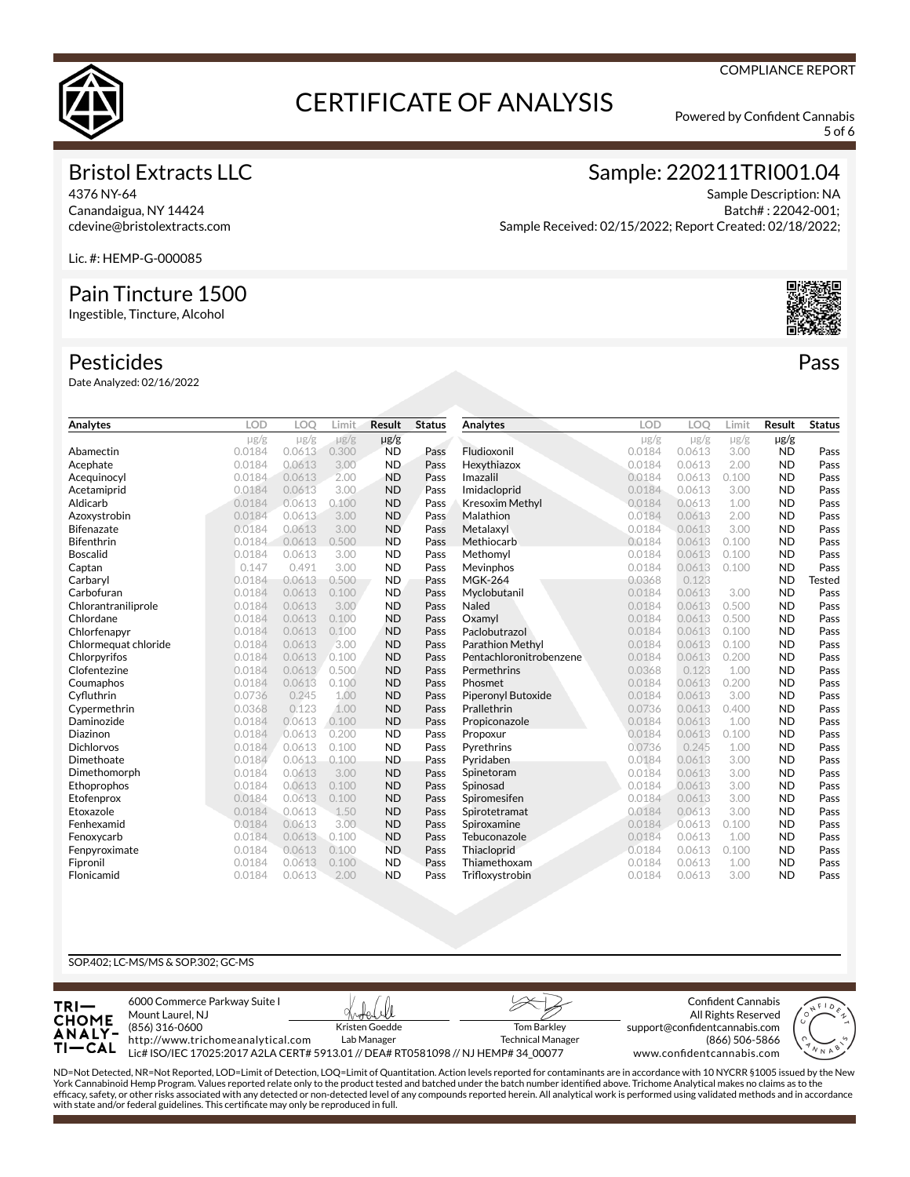

5 of 6

#### Bristol Extracts LLC

4376 NY-64 Canandaigua, NY 14424 cdevine@bristolextracts.com Sample: 220211TRI001.04

Sample Description: NA Batch# : 22042-001; Sample Received: 02/15/2022; Report Created: 02/18/2022;

Lic. #: HEMP-G-000085

#### Pain Tincture 1500

Ingestible, Tincture, Alcohol

#### Pesticides

Date Analyzed: 02/16/2022

| Analytes             | LOD       | LOO       | Limit     | <b>Result</b> | <b>Status</b> | Analytes                | <b>LOD</b> | LOO       | Limit     | Result    | <b>Status</b> |
|----------------------|-----------|-----------|-----------|---------------|---------------|-------------------------|------------|-----------|-----------|-----------|---------------|
|                      | $\mu$ g/g | $\mu$ g/g | $\mu$ g/g | $\mu$ g/g     |               |                         | $\mu$ g/g  | $\mu$ g/g | $\mu$ g/g | $\mu$ g/g |               |
| Abamectin            | 0.0184    | 0.0613    | 0.300     | <b>ND</b>     | Pass          | Fludioxonil             | 0.0184     | 0.0613    | 3.00      | <b>ND</b> | Pass          |
| Acephate             | 0.0184    | 0.0613    | 3.00      | <b>ND</b>     | Pass          | Hexythiazox             | 0.0184     | 0.0613    | 2.00      | <b>ND</b> | Pass          |
| Acequinocyl          | 0.0184    | 0.0613    | 2.00      | <b>ND</b>     | Pass          | Imazalil                | 0.0184     | 0.0613    | 0.100     | <b>ND</b> | Pass          |
| Acetamiprid          | 0.0184    | 0.0613    | 3.00      | <b>ND</b>     | Pass          | Imidacloprid            | 0.0184     | 0.0613    | 3.00      | <b>ND</b> | Pass          |
| Aldicarb             | 0.0184    | 0.0613    | 0.100     | <b>ND</b>     | Pass          | <b>Kresoxim Methyl</b>  | 0.0184     | 0.0613    | 1.00      | <b>ND</b> | Pass          |
| Azoxystrobin         | 0.0184    | 0.0613    | 3.00      | <b>ND</b>     | Pass          | Malathion               | 0.0184     | 0.0613    | 2.00      | <b>ND</b> | Pass          |
| Bifenazate           | 0.0184    | 0.0613    | 3.00      | <b>ND</b>     | Pass          | Metalaxyl               | 0.0184     | 0.0613    | 3.00      | <b>ND</b> | Pass          |
| Bifenthrin           | 0.0184    | 0.0613    | 0.500     | <b>ND</b>     | Pass          | Methiocarb              | 0.0184     | 0.0613    | 0.100     | <b>ND</b> | Pass          |
| Boscalid             | 0.0184    | 0.0613    | 3.00      | <b>ND</b>     | Pass          | Methomyl                | 0.0184     | 0.0613    | 0.100     | <b>ND</b> | Pass          |
| Captan               | 0.147     | 0.491     | 3.00      | <b>ND</b>     | Pass          | Mevinphos               | 0.0184     | 0.0613    | 0.100     | <b>ND</b> | Pass          |
| Carbaryl             | 0.0184    | 0.0613    | 0.500     | <b>ND</b>     | Pass          | <b>MGK-264</b>          | 0.0368     | 0.123     |           | <b>ND</b> | Tested        |
| Carbofuran           | 0.0184    | 0.0613    | 0.100     | <b>ND</b>     | Pass          | Myclobutanil            | 0.0184     | 0.0613    | 3.00      | <b>ND</b> | Pass          |
| Chlorantraniliprole  | 0.0184    | 0.0613    | 3.00      | <b>ND</b>     | Pass          | Naled                   | 0.0184     | 0.0613    | 0.500     | <b>ND</b> | Pass          |
| Chlordane            | 0.0184    | 0.0613    | 0.100     | <b>ND</b>     | Pass          | Oxamyl                  | 0.0184     | 0.0613    | 0.500     | <b>ND</b> | Pass          |
| Chlorfenapyr         | 0.0184    | 0.0613    | 0.100     | <b>ND</b>     | Pass          | Paclobutrazol           | 0.0184     | 0.0613    | 0.100     | <b>ND</b> | Pass          |
| Chlormequat chloride | 0.0184    | 0.0613    | 3.00      | <b>ND</b>     | Pass          | <b>Parathion Methyl</b> | 0.0184     | 0.0613    | 0.100     | <b>ND</b> | Pass          |
| Chlorpyrifos         | 0.0184    | 0.0613    | 0.100     | <b>ND</b>     | Pass          | Pentachloronitrobenzene | 0.0184     | 0.0613    | 0.200     | <b>ND</b> | Pass          |
| Clofentezine         | 0.0184    | 0.0613    | 0.500     | <b>ND</b>     | Pass          | Permethrins             | 0.0368     | 0.123     | 1.00      | <b>ND</b> | Pass          |
| Coumaphos            | 0.0184    | 0.0613    | 0.100     | <b>ND</b>     | Pass          | Phosmet                 | 0.0184     | 0.0613    | 0.200     | <b>ND</b> | Pass          |
| Cyfluthrin           | 0.0736    | 0.245     | 1.00      | <b>ND</b>     | Pass          | Piperonyl Butoxide      | 0.0184     | 0.0613    | 3.00      | <b>ND</b> | Pass          |
| Cypermethrin         | 0.0368    | 0.123     | 1.00      | <b>ND</b>     | Pass          | Prallethrin             | 0.0736     | 0.0613    | 0.400     | <b>ND</b> | Pass          |
| Daminozide           | 0.0184    | 0.0613    | 0.100     | <b>ND</b>     | Pass          | Propiconazole           | 0.0184     | 0.0613    | 1.00      | <b>ND</b> | Pass          |
| Diazinon             | 0.0184    | 0.0613    | 0.200     | <b>ND</b>     | Pass          | Propoxur                | 0.0184     | 0.0613    | 0.100     | <b>ND</b> | Pass          |
| Dichlorvos           | 0.0184    | 0.0613    | 0.100     | <b>ND</b>     | Pass          | Pyrethrins              | 0.0736     | 0.245     | 1.00      | <b>ND</b> | Pass          |
| Dimethoate           | 0.0184    | 0.0613    | 0.100     | <b>ND</b>     | Pass          | Pyridaben               | 0.0184     | 0.0613    | 3.00      | <b>ND</b> | Pass          |
| Dimethomorph         | 0.0184    | 0.0613    | 3.00      | <b>ND</b>     | Pass          | Spinetoram              | 0.0184     | 0.0613    | 3.00      | <b>ND</b> | Pass          |
| Ethoprophos          | 0.0184    | 0.0613    | 0.100     | <b>ND</b>     | Pass          | Spinosad                | 0.0184     | 0.0613    | 3.00      | <b>ND</b> | Pass          |
| Etofenprox           | 0.0184    | 0.0613    | 0.100     | <b>ND</b>     | Pass          | Spiromesifen            | 0.0184     | 0.0613    | 3.00      | <b>ND</b> | Pass          |
| Etoxazole            | 0.0184    | 0.0613    | 1.50      | <b>ND</b>     | Pass          | Spirotetramat           | 0.0184     | 0.0613    | 3.00      | <b>ND</b> | Pass          |
| Fenhexamid           | 0.0184    | 0.0613    | 3.00      | <b>ND</b>     | Pass          | Spiroxamine             | 0.0184     | 0.0613    | 0.100     | <b>ND</b> | Pass          |
| Fenoxycarb           | 0.0184    | 0.0613    | 0.100     | <b>ND</b>     | Pass          | Tebuconazole            | 0.0184     | 0.0613    | 1.00      | <b>ND</b> | Pass          |
| Fenpyroximate        | 0.0184    | 0.0613    | 0.100     | <b>ND</b>     | Pass          | Thiacloprid             | 0.0184     | 0.0613    | 0.100     | <b>ND</b> | Pass          |
| Fipronil             | 0.0184    | 0.0613    | 0.100     | <b>ND</b>     | Pass          | Thiamethoxam            | 0.0184     | 0.0613    | 1.00      | <b>ND</b> | Pass          |
| Flonicamid           | 0.0184    | 0.0613    | 2.00      | <b>ND</b>     | Pass          | Trifloxystrobin         | 0.0184     | 0.0613    | 3.00      | <b>ND</b> | Pass          |

#### SOP.402; LC-MS/MS & SOP.302; GC-MS



ND=Not Detected, NR=Not Reported, LOD=Limit of Detection, LOQ=Limit of Quantitation. Action levels reported for contaminants are in accordance with 10 NYCRR §1005 issued by the New<br>York Cannabinoid Hemp Program. Values rep efficacy, safety, or other risks associated with any detected or non-detected level of any compounds reported herein. All analytical work is performed using validated methods and in accordance with state and/or federal guidelines. This certificate may only be reproduced in full.



Pass